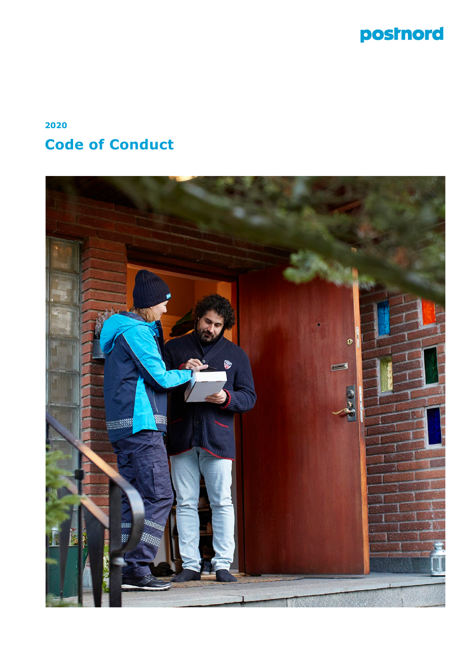

# **2020 Code of Conduct**

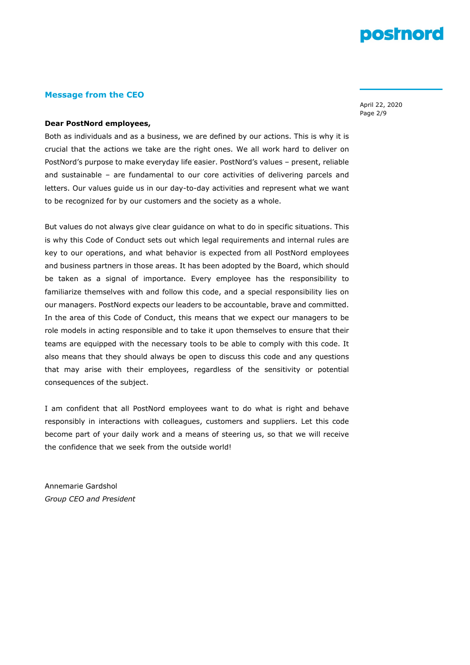# **Message from the CEO**

April 22, 2020 Page 2/9

# **Dear PostNord employees,**

Both as individuals and as a business, we are defined by our actions. This is why it is crucial that the actions we take are the right ones. We all work hard to deliver on PostNord's purpose to make everyday life easier. PostNord's values – present, reliable and sustainable – are fundamental to our core activities of delivering parcels and letters. Our values guide us in our day-to-day activities and represent what we want to be recognized for by our customers and the society as a whole.

But values do not always give clear guidance on what to do in specific situations. This is why this Code of Conduct sets out which legal requirements and internal rules are key to our operations, and what behavior is expected from all PostNord employees and business partners in those areas. It has been adopted by the Board, which should be taken as a signal of importance. Every employee has the responsibility to familiarize themselves with and follow this code, and a special responsibility lies on our managers. PostNord expects our leaders to be accountable, brave and committed. In the area of this Code of Conduct, this means that we expect our managers to be role models in acting responsible and to take it upon themselves to ensure that their teams are equipped with the necessary tools to be able to comply with this code. It also means that they should always be open to discuss this code and any questions that may arise with their employees, regardless of the sensitivity or potential consequences of the subject.

I am confident that all PostNord employees want to do what is right and behave responsibly in interactions with colleagues, customers and suppliers. Let this code become part of your daily work and a means of steering us, so that we will receive the confidence that we seek from the outside world!

Annemarie Gardshol *Group CEO and President*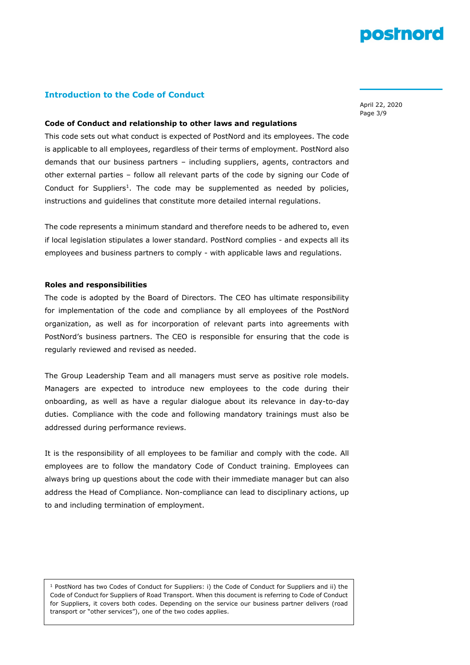# **Introduction to the Code of Conduct**

April 22, 2020 Page 3/9

#### **Code of Conduct and relationship to other laws and regulations**

This code sets out what conduct is expected of PostNord and its employees. The code is applicable to all employees, regardless of their terms of employment. PostNord also demands that our business partners – including suppliers, agents, contractors and other external parties – follow all relevant parts of the code by signing our Code of Conduct for Suppliers<sup>1</sup>. The code may be supplemented as needed by policies, instructions and guidelines that constitute more detailed internal regulations.

The code represents a minimum standard and therefore needs to be adhered to, even if local legislation stipulates a lower standard. PostNord complies - and expects all its employees and business partners to comply - with applicable laws and regulations.

#### **Roles and responsibilities**

The code is adopted by the Board of Directors. The CEO has ultimate responsibility for implementation of the code and compliance by all employees of the PostNord organization, as well as for incorporation of relevant parts into agreements with PostNord's business partners. The CEO is responsible for ensuring that the code is regularly reviewed and revised as needed.

The Group Leadership Team and all managers must serve as positive role models. Managers are expected to introduce new employees to the code during their onboarding, as well as have a regular dialogue about its relevance in day-to-day duties. Compliance with the code and following mandatory trainings must also be addressed during performance reviews.

It is the responsibility of all employees to be familiar and comply with the code. All employees are to follow the mandatory Code of Conduct training. Employees can always bring up questions about the code with their immediate manager but can also address the Head of Compliance. Non-compliance can lead to disciplinary actions, up to and including termination of employment.

<sup>1</sup> PostNord has two Codes of Conduct for Suppliers: i) the Code of Conduct for Suppliers and ii) the Code of Conduct for Suppliers of Road Transport. When this document is referring to Code of Conduct for Suppliers, it covers both codes. Depending on the service our business partner delivers (road transport or "other services"), one of the two codes applies.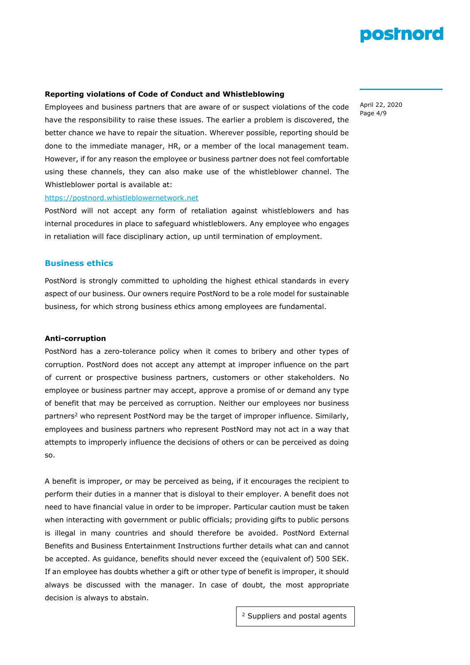

#### **Reporting violations of Code of Conduct and Whistleblowing**

Employees and business partners that are aware of or suspect violations of the code have the responsibility to raise these issues. The earlier a problem is discovered, the better chance we have to repair the situation. Wherever possible, reporting should be done to the immediate manager, HR, or a member of the local management team. However, if for any reason the employee or business partner does not feel comfortable using these channels, they can also make use of the whistleblower channel. The Whistleblower portal is available at:

### [https://postnord.whistleblowernetwork.net](https://postnord.whistleblowernetwork.net/)

PostNord will not accept any form of retaliation against whistleblowers and has internal procedures in place to safeguard whistleblowers. Any employee who engages in retaliation will face disciplinary action, up until termination of employment.

# **Business ethics**

PostNord is strongly committed to upholding the highest ethical standards in every aspect of our business. Our owners require PostNord to be a role model for sustainable business, for which strong business ethics among employees are fundamental.

#### **Anti-corruption**

PostNord has a zero-tolerance policy when it comes to bribery and other types of corruption. PostNord does not accept any attempt at improper influence on the part of current or prospective business partners, customers or other stakeholders. No employee or business partner may accept, approve a promise of or demand any type of benefit that may be perceived as corruption. Neither our employees nor business partners<sup>2</sup> who represent PostNord may be the target of improper influence. Similarly, employees and business partners who represent PostNord may not act in a way that attempts to improperly influence the decisions of others or can be perceived as doing so.

A benefit is improper, or may be perceived as being, if it encourages the recipient to perform their duties in a manner that is disloyal to their employer. A benefit does not need to have financial value in order to be improper. Particular caution must be taken when interacting with government or public officials; providing gifts to public persons is illegal in many countries and should therefore be avoided. PostNord External Benefits and Business Entertainment Instructions further details what can and cannot be accepted. As guidance, benefits should never exceed the (equivalent of) 500 SEK. If an employee has doubts whether a gift or other type of benefit is improper, it should always be discussed with the manager. In case of doubt, the most appropriate decision is always to abstain.

April 22, 2020 Page 4/9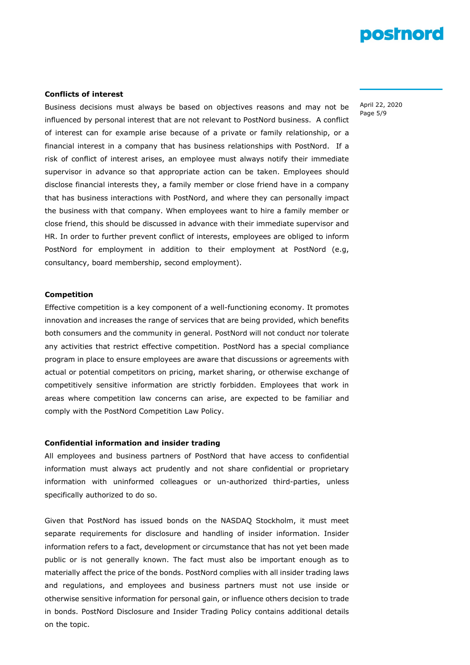#### **Conflicts of interest**

Business decisions must always be based on objectives reasons and may not be influenced by personal interest that are not relevant to PostNord business. A conflict of interest can for example arise because of a private or family relationship, or a financial interest in a company that has business relationships with PostNord. If a risk of conflict of interest arises, an employee must always notify their immediate supervisor in advance so that appropriate action can be taken. Employees should disclose financial interests they, a family member or close friend have in a company that has business interactions with PostNord, and where they can personally impact the business with that company. When employees want to hire a family member or close friend, this should be discussed in advance with their immediate supervisor and HR. In order to further prevent conflict of interests, employees are obliged to inform PostNord for employment in addition to their employment at PostNord (e.g, consultancy, board membership, second employment).

#### **Competition**

Effective competition is a key component of a well-functioning economy. It promotes innovation and increases the range of services that are being provided, which benefits both consumers and the community in general. PostNord will not conduct nor tolerate any activities that restrict effective competition. PostNord has a special compliance program in place to ensure employees are aware that discussions or agreements with actual or potential competitors on pricing, market sharing, or otherwise exchange of competitively sensitive information are strictly forbidden. Employees that work in areas where competition law concerns can arise, are expected to be familiar and comply with the PostNord Competition Law Policy.

#### **Confidential information and insider trading**

All employees and business partners of PostNord that have access to confidential information must always act prudently and not share confidential or proprietary information with uninformed colleagues or un-authorized third-parties, unless specifically authorized to do so.

Given that PostNord has issued bonds on the NASDAQ Stockholm, it must meet separate requirements for disclosure and handling of insider information. Insider information refers to a fact, development or circumstance that has not yet been made public or is not generally known. The fact must also be important enough as to materially affect the price of the bonds. PostNord complies with all insider trading laws and regulations, and employees and business partners must not use inside or otherwise sensitive information for personal gain, or influence others decision to trade in bonds. PostNord Disclosure and Insider Trading Policy contains additional details on the topic.

April 22, 2020 Page 5/9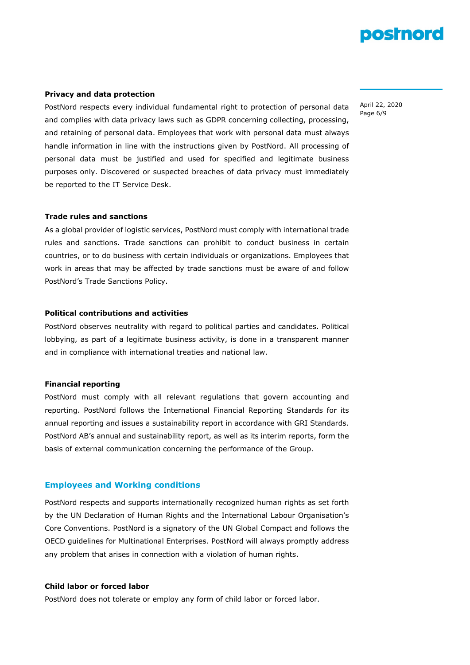#### **Privacy and data protection**

PostNord respects every individual fundamental right to protection of personal data and complies with data privacy laws such as GDPR concerning collecting, processing, and retaining of personal data. Employees that work with personal data must always handle information in line with the instructions given by PostNord. All processing of personal data must be justified and used for specified and legitimate business purposes only. Discovered or suspected breaches of data privacy must immediately be reported to the IT Service Desk.

### **Trade rules and sanctions**

As a global provider of logistic services, PostNord must comply with international trade rules and sanctions. Trade sanctions can prohibit to conduct business in certain countries, or to do business with certain individuals or organizations. Employees that work in areas that may be affected by trade sanctions must be aware of and follow PostNord's Trade Sanctions Policy.

### **Political contributions and activities**

PostNord observes neutrality with regard to political parties and candidates. Political lobbying, as part of a legitimate business activity, is done in a transparent manner and in compliance with international treaties and national law.

### **Financial reporting**

PostNord must comply with all relevant regulations that govern accounting and reporting. PostNord follows the International Financial Reporting Standards for its annual reporting and issues a sustainability report in accordance with GRI Standards. PostNord AB's annual and sustainability report, as well as its interim reports, form the basis of external communication concerning the performance of the Group.

### **Employees and Working conditions**

PostNord respects and supports internationally recognized human rights as set forth by the UN Declaration of Human Rights and the International Labour Organisation's Core Conventions. PostNord is a signatory of the UN Global Compact and follows the OECD guidelines for Multinational Enterprises. PostNord will always promptly address any problem that arises in connection with a violation of human rights.

# **Child labor or forced labor**

PostNord does not tolerate or employ any form of child labor or forced labor.

April 22, 2020 Page 6/9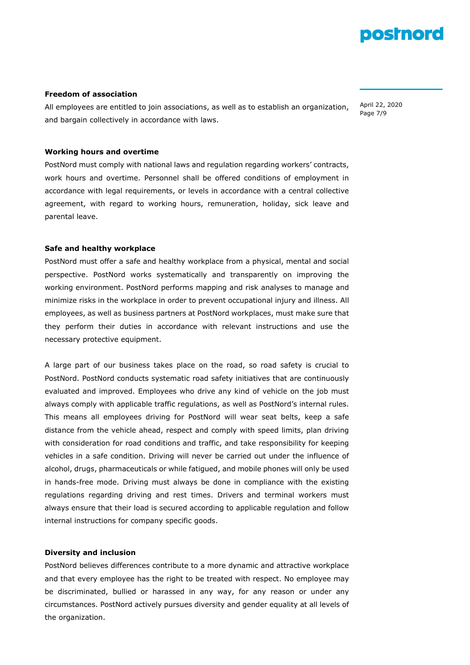### **Freedom of association**

All employees are entitled to join associations, as well as to establish an organization, and bargain collectively in accordance with laws.

April 22, 2020 Page 7/9

# **Working hours and overtime**

PostNord must comply with national laws and regulation regarding workers' contracts, work hours and overtime. Personnel shall be offered conditions of employment in accordance with legal requirements, or levels in accordance with a central collective agreement, with regard to working hours, remuneration, holiday, sick leave and parental leave.

# **Safe and healthy workplace**

PostNord must offer a safe and healthy workplace from a physical, mental and social perspective. PostNord works systematically and transparently on improving the working environment. PostNord performs mapping and risk analyses to manage and minimize risks in the workplace in order to prevent occupational injury and illness. All employees, as well as business partners at PostNord workplaces, must make sure that they perform their duties in accordance with relevant instructions and use the necessary protective equipment.

A large part of our business takes place on the road, so road safety is crucial to PostNord. PostNord conducts systematic road safety initiatives that are continuously evaluated and improved. Employees who drive any kind of vehicle on the job must always comply with applicable traffic regulations, as well as PostNord's internal rules. This means all employees driving for PostNord will wear seat belts, keep a safe distance from the vehicle ahead, respect and comply with speed limits, plan driving with consideration for road conditions and traffic, and take responsibility for keeping vehicles in a safe condition. Driving will never be carried out under the influence of alcohol, drugs, pharmaceuticals or while fatigued, and mobile phones will only be used in hands-free mode. Driving must always be done in compliance with the existing regulations regarding driving and rest times. Drivers and terminal workers must always ensure that their load is secured according to applicable regulation and follow internal instructions for company specific goods.

#### **Diversity and inclusion**

PostNord believes differences contribute to a more dynamic and attractive workplace and that every employee has the right to be treated with respect. No employee may be discriminated, bullied or harassed in any way, for any reason or under any circumstances. PostNord actively pursues diversity and gender equality at all levels of the organization.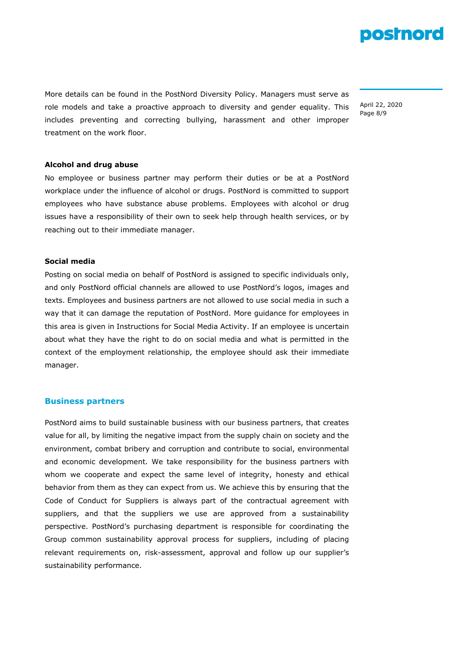

More details can be found in the PostNord Diversity Policy. Managers must serve as role models and take a proactive approach to diversity and gender equality. This includes preventing and correcting bullying, harassment and other improper treatment on the work floor.

April 22, 2020 Page 8/9

# **Alcohol and drug abuse**

No employee or business partner may perform their duties or be at a PostNord workplace under the influence of alcohol or drugs. PostNord is committed to support employees who have substance abuse problems. Employees with alcohol or drug issues have a responsibility of their own to seek help through health services, or by reaching out to their immediate manager.

#### **Social media**

Posting on social media on behalf of PostNord is assigned to specific individuals only, and only PostNord official channels are allowed to use PostNord's logos, images and texts. Employees and business partners are not allowed to use social media in such a way that it can damage the reputation of PostNord. More guidance for employees in this area is given in Instructions for Social Media Activity. If an employee is uncertain about what they have the right to do on social media and what is permitted in the context of the employment relationship, the employee should ask their immediate manager.

# **Business partners**

PostNord aims to build sustainable business with our business partners, that creates value for all, by limiting the negative impact from the supply chain on society and the environment, combat bribery and corruption and contribute to social, environmental and economic development. We take responsibility for the business partners with whom we cooperate and expect the same level of integrity, honesty and ethical behavior from them as they can expect from us. We achieve this by ensuring that the Code of Conduct for Suppliers is always part of the contractual agreement with suppliers, and that the suppliers we use are approved from a sustainability perspective. PostNord's purchasing department is responsible for coordinating the Group common sustainability approval process for suppliers, including of placing relevant requirements on, risk-assessment, approval and follow up our supplier's sustainability performance.